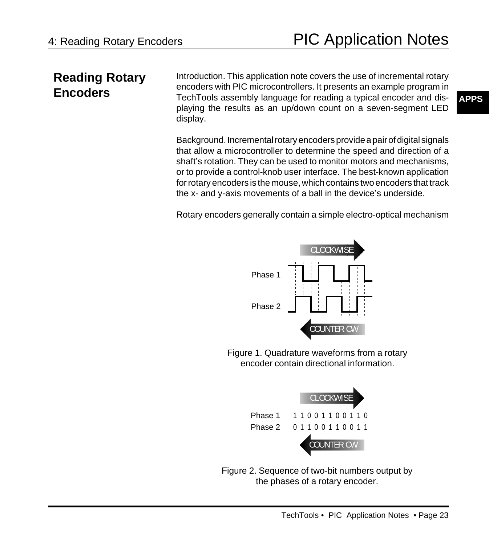## **Reading Rotary Encoders**

Introduction. This application note covers the use of incremental rotary encoders with PIC microcontrollers. It presents an example program in TechTools assembly language for reading a typical encoder and displaying the results as an up/down count on a seven-segment LED display.

Background. Incremental rotary encoders provide a pair of digital signals that allow a microcontroller to determine the speed and direction of a shaft's rotation. They can be used to monitor motors and mechanisms, or to provide a control-knob user interface. The best-known application for rotary encoders is the mouse, which contains two encoders that track the x- and y-axis movements of a ball in the device's underside.

Rotary encoders generally contain a simple electro-optical mechanism



Figure 1. Quadrature waveforms from a rotary encoder contain directional information.



Figure 2. Sequence of two-bit numbers output by the phases of a rotary encoder.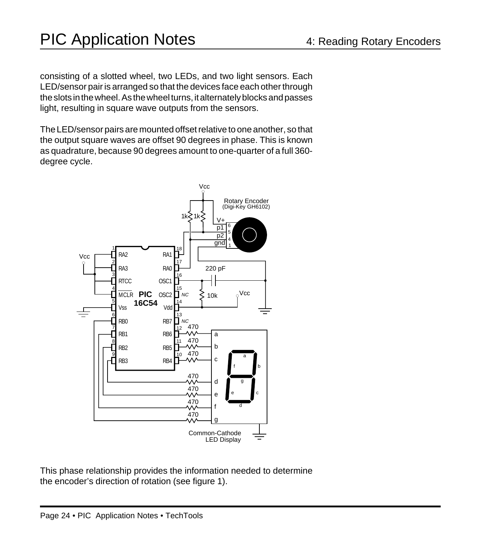consisting of a slotted wheel, two LEDs, and two light sensors. Each LED/sensor pair is arranged so that the devices face each other through the slots in the wheel. As the wheel turns, it alternately blocks and passes light, resulting in square wave outputs from the sensors.

The LED/sensor pairs are mounted offset relative to one another, so that the output square waves are offset 90 degrees in phase. This is known as quadrature, because 90 degrees amount to one-quarter of a full 360 degree cycle.



This phase relationship provides the information needed to determine the encoder's direction of rotation (see figure 1).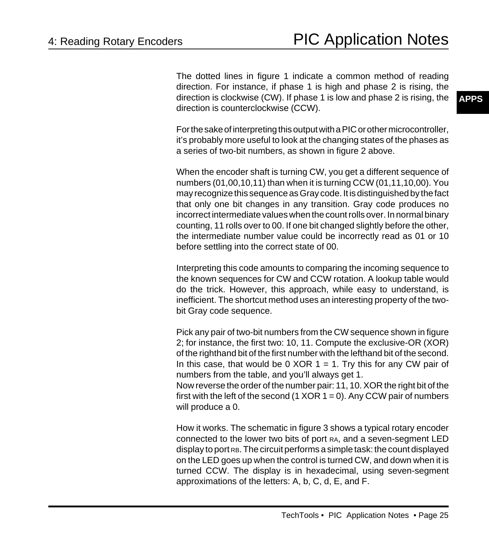The dotted lines in figure 1 indicate a common method of reading direction. For instance, if phase 1 is high and phase 2 is rising, the direction is clockwise (CW). If phase 1 is low and phase 2 is rising, the direction is counterclockwise (CCW).

For the sake of interpreting this output with a PIC or other microcontroller, it's probably more useful to look at the changing states of the phases as a series of two-bit numbers, as shown in figure 2 above.

When the encoder shaft is turning CW, you get a different sequence of numbers (01,00,10,11) than when it is turning CCW (01,11,10,00). You may recognize this sequence as Gray code. It is distinguished by the fact that only one bit changes in any transition. Gray code produces no incorrect intermediate values when the count rolls over. In normal binary counting, 11 rolls over to 00. If one bit changed slightly before the other, the intermediate number value could be incorrectly read as 01 or 10 before settling into the correct state of 00.

Interpreting this code amounts to comparing the incoming sequence to the known sequences for CW and CCW rotation. A lookup table would do the trick. However, this approach, while easy to understand, is inefficient. The shortcut method uses an interesting property of the twobit Gray code sequence.

Pick any pair of two-bit numbers from the CW sequence shown in figure 2; for instance, the first two: 10, 11. Compute the exclusive-OR (XOR) of the righthand bit of the first number with the lefthand bit of the second. In this case, that would be 0 XOR  $1 = 1$ . Try this for any CW pair of numbers from the table, and you'll always get 1.

Now reverse the order of the number pair: 11, 10. XOR the right bit of the first with the left of the second  $(1 XOR 1 = 0)$ . Any CCW pair of numbers will produce a 0.

How it works. The schematic in figure 3 shows a typical rotary encoder connected to the lower two bits of port RA, and a seven-segment LED display to port RB. The circuit performs a simple task: the count displayed on the LED goes up when the control is turned CW, and down when it is turned CCW. The display is in hexadecimal, using seven-segment approximations of the letters: A, b, C, d, E, and F.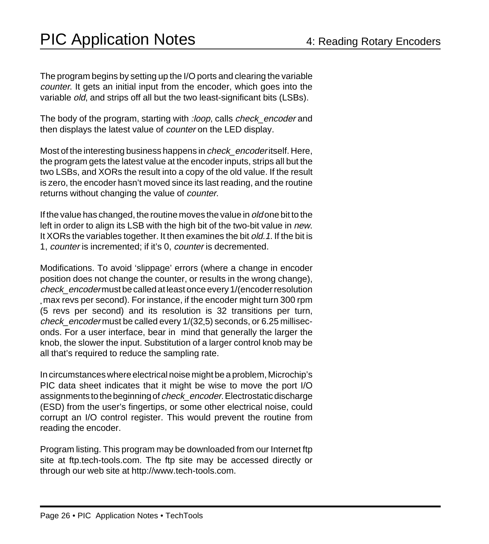The program begins by setting up the I/O ports and clearing the variable counter. It gets an initial input from the encoder, which goes into the variable old, and strips off all but the two least-significant bits (LSBs).

The body of the program, starting with : loop, calls check\_encoder and then displays the latest value of *counter* on the LED display.

Most of the interesting business happens in *check\_encoder* itself. Here, the program gets the latest value at the encoder inputs, strips all but the two LSBs, and XORs the result into a copy of the old value. If the result is zero, the encoder hasn't moved since its last reading, and the routine returns without changing the value of *counter*.

If the value has changed, the routine moves the value in *old* one bit to the left in order to align its LSB with the high bit of the two-bit value in new. It XORs the variables together. It then examines the bit old. 1. If the bit is 1, counter is incremented; if it's 0, counter is decremented.

Modifications. To avoid 'slippage' errors (where a change in encoder position does not change the counter, or results in the wrong change), check\_encoder must be called at least once every 1/(encoder resolution max revs per second). For instance, if the encoder might turn 300 rpm (5 revs per second) and its resolution is 32 transitions per turn, *check\_encoder* must be called every 1/(32,5) seconds, or 6.25 milliseconds. For a user interface, bear in mind that generally the larger the knob, the slower the input. Substitution of a larger control knob may be all that's required to reduce the sampling rate.

In circumstances where electrical noise might be a problem, Microchip's PIC data sheet indicates that it might be wise to move the port I/O assignments to the beginning of check\_encoder. Electrostatic discharge (ESD) from the user's fingertips, or some other electrical noise, could corrupt an I/O control register. This would prevent the routine from reading the encoder.

Program listing. This program may be downloaded from our Internet ftp site at ftp.tech-tools.com. The ftp site may be accessed directly or through our web site at http://www.tech-tools.com.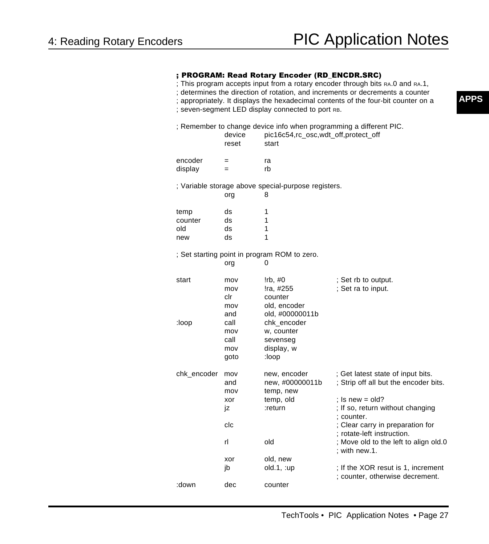## ; PROGRAM: Read Rotary Encoder (RD\_ENCDR.SRC)

- ; This program accepts input from a rotary encoder through bits RA.0 and RA.1,
- ; determines the direction of rotation, and increments or decrements a counter
- ; appropriately. It displays the hexadecimal contents of the four-bit counter on a
- ; seven-segment LED display connected to port RB.

|                                                          | device<br>reset                         | pic16c54,rc_osc,wdt_off,protect_off<br>start                                      | ; Remember to change device info when programming a different PIC.         |  |  |
|----------------------------------------------------------|-----------------------------------------|-----------------------------------------------------------------------------------|----------------------------------------------------------------------------|--|--|
| encoder                                                  | $=$                                     | ra                                                                                |                                                                            |  |  |
| display                                                  | $=$                                     | rb                                                                                |                                                                            |  |  |
| ; Variable storage above special-purpose registers.      |                                         |                                                                                   |                                                                            |  |  |
|                                                          | org                                     | 8                                                                                 |                                                                            |  |  |
| temp                                                     | ds                                      | 1                                                                                 |                                                                            |  |  |
| counter                                                  | ds                                      | 1                                                                                 |                                                                            |  |  |
| old                                                      | ds                                      | 1                                                                                 |                                                                            |  |  |
| new                                                      | ds                                      | 1                                                                                 |                                                                            |  |  |
| ; Set starting point in program ROM to zero.<br>0<br>org |                                         |                                                                                   |                                                                            |  |  |
| start<br>:loop                                           | mov<br>mov<br>clr<br>mov<br>and<br>call | !rb, #0<br>!ra, #255<br>counter<br>old, encoder<br>old, #00000011b<br>chk_encoder | ; Set rb to output.<br>; Set ra to input.                                  |  |  |
|                                                          | mov<br>call<br>mov<br>goto              | w, counter<br>sevenseg<br>display, w<br>:loop                                     |                                                                            |  |  |
| chk_encoder                                              | mov<br>and<br>mov                       | new, encoder<br>new, #00000011b<br>temp, new                                      | ; Get latest state of input bits.<br>; Strip off all but the encoder bits. |  |  |
|                                                          | xor<br>jz                               | temp, old<br>:return                                                              | ; Is new = old?<br>; If so, return without changing<br>: counter.          |  |  |
|                                                          | clc                                     |                                                                                   | ; Clear carry in preparation for<br>: rotate-left instruction.             |  |  |
|                                                          | rl                                      | old                                                                               | ; Move old to the left to align old.0<br>; with new.1.                     |  |  |
|                                                          | xor                                     | old, new                                                                          |                                                                            |  |  |
|                                                          | jb                                      | $old.1$ , :up                                                                     | ; If the XOR resut is 1, increment<br>; counter, otherwise decrement.      |  |  |
| :down                                                    | dec                                     | counter                                                                           |                                                                            |  |  |

**APPS**